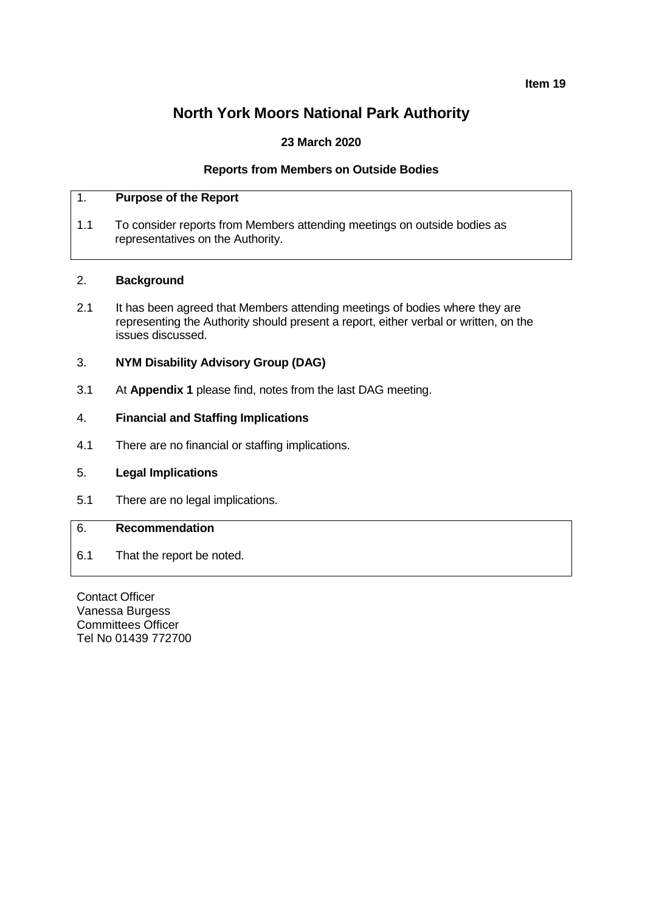**Item 19**

# **North York Moors National Park Authority**

# **23 March 2020**

## **Reports from Members on Outside Bodies**

# 1. **Purpose of the Report**

1.1 To consider reports from Members attending meetings on outside bodies as representatives on the Authority.

### 2. **Background**

2.1 It has been agreed that Members attending meetings of bodies where they are representing the Authority should present a report, either verbal or written, on the issues discussed.

### 3. **NYM Disability Advisory Group (DAG)**

3.1 At **Appendix 1** please find, notes from the last DAG meeting.

### 4. **Financial and Staffing Implications**

4.1 There are no financial or staffing implications.

### 5. **Legal Implications**

5.1 There are no legal implications.

### 6. **Recommendation**

6.1 That the report be noted.

Contact Officer Vanessa Burgess Committees Officer Tel No 01439 772700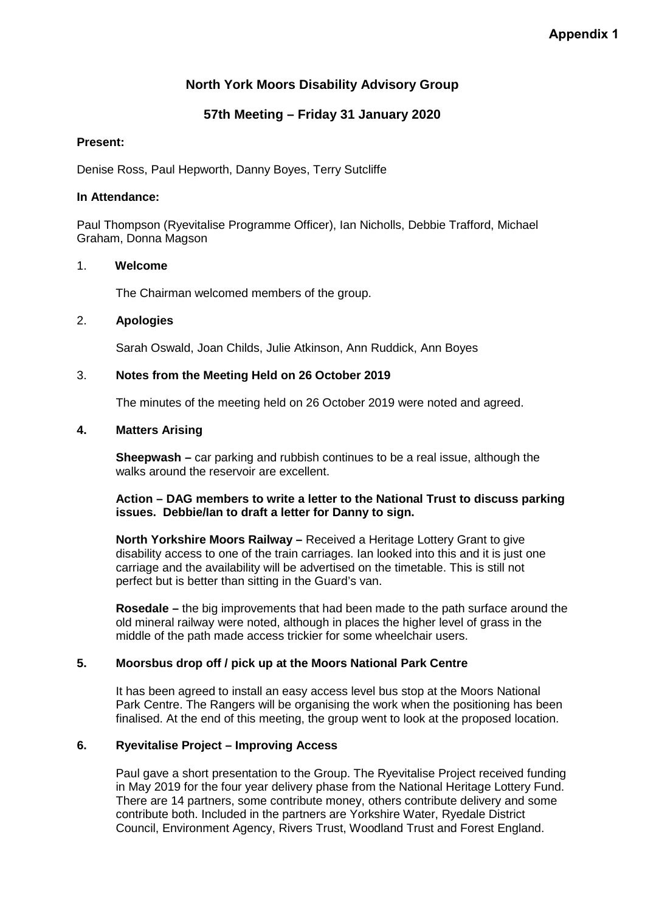# **North York Moors Disability Advisory Group**

# **57th Meeting – Friday 31 January 2020**

## **Present:**

Denise Ross, Paul Hepworth, Danny Boyes, Terry Sutcliffe

## **In Attendance:**

Paul Thompson (Ryevitalise Programme Officer), Ian Nicholls, Debbie Trafford, Michael Graham, Donna Magson

### 1. **Welcome**

The Chairman welcomed members of the group.

# 2. **Apologies**

Sarah Oswald, Joan Childs, Julie Atkinson, Ann Ruddick, Ann Boyes

# 3. **Notes from the Meeting Held on 26 October 2019**

The minutes of the meeting held on 26 October 2019 were noted and agreed.

### **4. Matters Arising**

**Sheepwash –** car parking and rubbish continues to be a real issue, although the walks around the reservoir are excellent.

### **Action – DAG members to write a letter to the National Trust to discuss parking issues. Debbie/Ian to draft a letter for Danny to sign.**

**North Yorkshire Moors Railway –** Received a Heritage Lottery Grant to give disability access to one of the train carriages. Ian looked into this and it is just one carriage and the availability will be advertised on the timetable. This is still not perfect but is better than sitting in the Guard's van.

**Rosedale –** the big improvements that had been made to the path surface around the old mineral railway were noted, although in places the higher level of grass in the middle of the path made access trickier for some wheelchair users.

# **5. Moorsbus drop off / pick up at the Moors National Park Centre**

It has been agreed to install an easy access level bus stop at the Moors National Park Centre. The Rangers will be organising the work when the positioning has been finalised. At the end of this meeting, the group went to look at the proposed location.

# **6. Ryevitalise Project – Improving Access**

Paul gave a short presentation to the Group. The Ryevitalise Project received funding in May 2019 for the four year delivery phase from the National Heritage Lottery Fund. There are 14 partners, some contribute money, others contribute delivery and some contribute both. Included in the partners are Yorkshire Water, Ryedale District Council, Environment Agency, Rivers Trust, Woodland Trust and Forest England.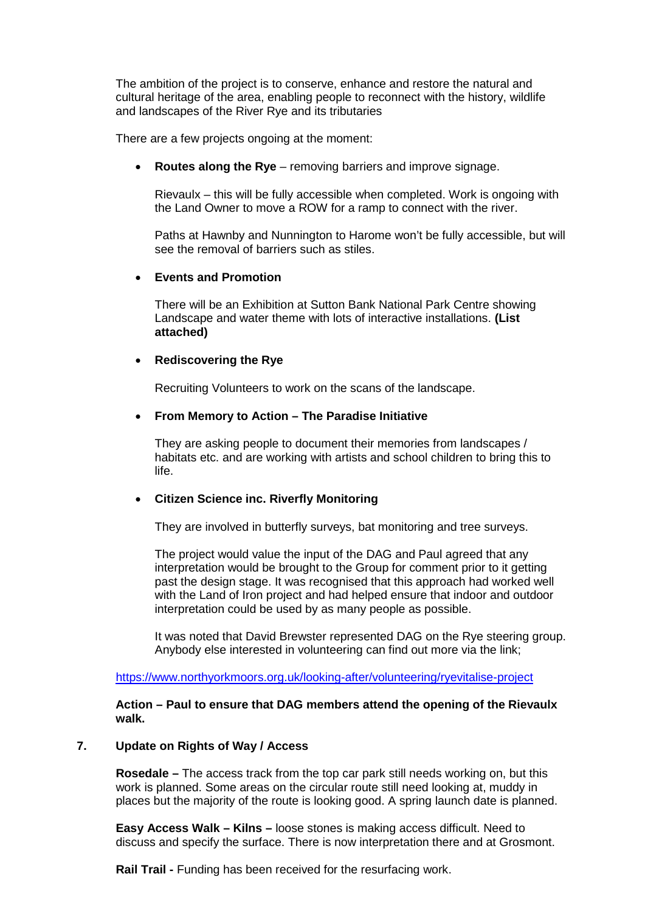The ambition of the project is to conserve, enhance and restore the natural and cultural heritage of the area, enabling people to reconnect with the history, wildlife and landscapes of the River Rye and its tributaries

There are a few projects ongoing at the moment:

**Routes along the Rye** – removing barriers and improve signage.

Rievaulx – this will be fully accessible when completed. Work is ongoing with the Land Owner to move a ROW for a ramp to connect with the river.

Paths at Hawnby and Nunnington to Harome won't be fully accessible, but will see the removal of barriers such as stiles.

### • **Events and Promotion**

There will be an Exhibition at Sutton Bank National Park Centre showing Landscape and water theme with lots of interactive installations. **(List attached)**

### • **Rediscovering the Rye**

Recruiting Volunteers to work on the scans of the landscape.

### • **From Memory to Action – The Paradise Initiative**

They are asking people to document their memories from landscapes / habitats etc. and are working with artists and school children to bring this to life.

#### • **Citizen Science inc. Riverfly Monitoring**

They are involved in butterfly surveys, bat monitoring and tree surveys.

The project would value the input of the DAG and Paul agreed that any interpretation would be brought to the Group for comment prior to it getting past the design stage. It was recognised that this approach had worked well with the Land of Iron project and had helped ensure that indoor and outdoor interpretation could be used by as many people as possible.

It was noted that David Brewster represented DAG on the Rye steering group. Anybody else interested in volunteering can find out more via the link;

#### <https://www.northyorkmoors.org.uk/looking-after/volunteering/ryevitalise-project>

**Action – Paul to ensure that DAG members attend the opening of the Rievaulx walk.**

#### **7. Update on Rights of Way / Access**

**Rosedale –** The access track from the top car park still needs working on, but this work is planned. Some areas on the circular route still need looking at, muddy in places but the majority of the route is looking good. A spring launch date is planned.

**Easy Access Walk – Kilns –** loose stones is making access difficult. Need to discuss and specify the surface. There is now interpretation there and at Grosmont.

**Rail Trail -** Funding has been received for the resurfacing work.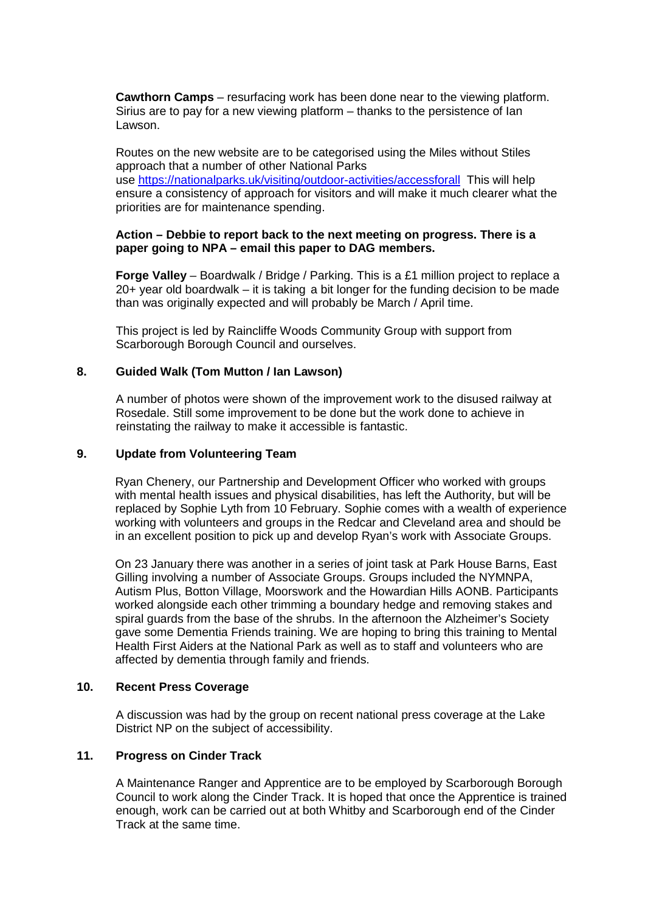**Cawthorn Camps** – resurfacing work has been done near to the viewing platform. Sirius are to pay for a new viewing platform – thanks to the persistence of Ian Lawson.

Routes on the new website are to be categorised using the Miles without Stiles approach that a number of other National Parks use<https://nationalparks.uk/visiting/outdoor-activities/accessforall>This will help ensure a consistency of approach for visitors and will make it much clearer what the priorities are for maintenance spending.

### **Action – Debbie to report back to the next meeting on progress. There is a paper going to NPA – email this paper to DAG members.**

**Forge Valley** – Boardwalk / Bridge / Parking. This is a £1 million project to replace a 20+ year old boardwalk – it is taking a bit longer for the funding decision to be made than was originally expected and will probably be March / April time.

This project is led by Raincliffe Woods Community Group with support from Scarborough Borough Council and ourselves.

### **8. Guided Walk (Tom Mutton / Ian Lawson)**

A number of photos were shown of the improvement work to the disused railway at Rosedale. Still some improvement to be done but the work done to achieve in reinstating the railway to make it accessible is fantastic.

#### **9. Update from Volunteering Team**

Ryan Chenery, our Partnership and Development Officer who worked with groups with mental health issues and physical disabilities, has left the Authority, but will be replaced by Sophie Lyth from 10 February. Sophie comes with a wealth of experience working with volunteers and groups in the Redcar and Cleveland area and should be in an excellent position to pick up and develop Ryan's work with Associate Groups.

On 23 January there was another in a series of joint task at Park House Barns, East Gilling involving a number of Associate Groups. Groups included the NYMNPA, Autism Plus, Botton Village, Moorswork and the Howardian Hills AONB. Participants worked alongside each other trimming a boundary hedge and removing stakes and spiral guards from the base of the shrubs. In the afternoon the Alzheimer's Society gave some Dementia Friends training. We are hoping to bring this training to Mental Health First Aiders at the National Park as well as to staff and volunteers who are affected by dementia through family and friends.

#### **10. Recent Press Coverage**

A discussion was had by the group on recent national press coverage at the Lake District NP on the subject of accessibility.

## **11. Progress on Cinder Track**

A Maintenance Ranger and Apprentice are to be employed by Scarborough Borough Council to work along the Cinder Track. It is hoped that once the Apprentice is trained enough, work can be carried out at both Whitby and Scarborough end of the Cinder Track at the same time.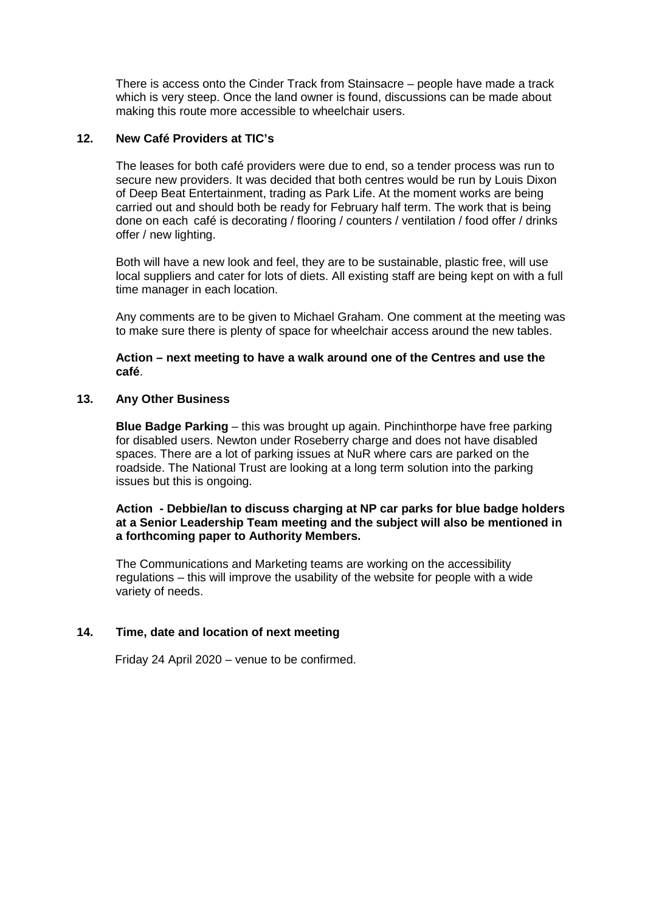There is access onto the Cinder Track from Stainsacre – people have made a track which is very steep. Once the land owner is found, discussions can be made about making this route more accessible to wheelchair users.

## **12. New Café Providers at TIC's**

The leases for both café providers were due to end, so a tender process was run to secure new providers. It was decided that both centres would be run by Louis Dixon of Deep Beat Entertainment, trading as Park Life. At the moment works are being carried out and should both be ready for February half term. The work that is being done on each café is decorating / flooring / counters / ventilation / food offer / drinks offer / new lighting.

Both will have a new look and feel, they are to be sustainable, plastic free, will use local suppliers and cater for lots of diets. All existing staff are being kept on with a full time manager in each location.

Any comments are to be given to Michael Graham. One comment at the meeting was to make sure there is plenty of space for wheelchair access around the new tables.

**Action – next meeting to have a walk around one of the Centres and use the café**.

### **13. Any Other Business**

**Blue Badge Parking** – this was brought up again. Pinchinthorpe have free parking for disabled users. Newton under Roseberry charge and does not have disabled spaces. There are a lot of parking issues at NuR where cars are parked on the roadside. The National Trust are looking at a long term solution into the parking issues but this is ongoing.

**Action - Debbie/Ian to discuss charging at NP car parks for blue badge holders at a Senior Leadership Team meeting and the subject will also be mentioned in a forthcoming paper to Authority Members.**

The Communications and Marketing teams are working on the accessibility regulations – this will improve the usability of the website for people with a wide variety of needs.

### **14. Time, date and location of next meeting**

Friday 24 April 2020 – venue to be confirmed.